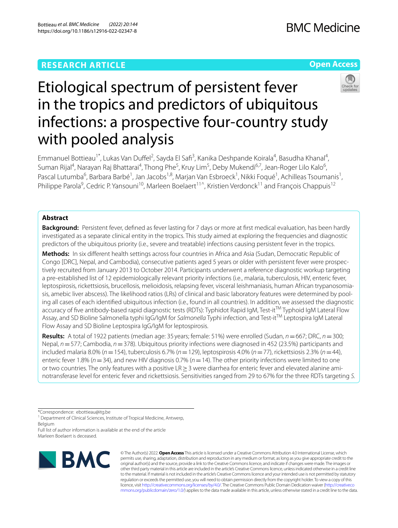## **RESEARCH ARTICLE**

## **Open Access**



# Etiological spectrum of persistent fever in the tropics and predictors of ubiquitous infections: a prospective four-country study with pooled analysis

Emmanuel Bottieau<sup>1\*</sup>, Lukas Van Duffel<sup>2</sup>, Sayda El Safi<sup>3</sup>, Kanika Deshpande Koirala<sup>4</sup>, Basudha Khanal<sup>4</sup>, Suman Rijal<sup>4</sup>, Narayan Raj Bhattarai<sup>4</sup>, Thong Phe<sup>5</sup>, Kruy Lim<sup>5</sup>, Deby Mukendi<sup>6,7</sup>, Jean-Roger Lilo Kalo<sup>6</sup>, Pascal Lutumba<sup>6</sup>, Barbara Barbé<sup>1</sup>, Jan Jacobs<sup>1,8</sup>, Marjan Van Esbroeck<sup>1</sup>, Nikki Foqué<sup>1</sup>, Achilleas Tsoumanis<sup>1</sup>, Philippe Parola<sup>9</sup>, Cedric P. Yansouni<sup>10</sup>, Marleen Boelaert<sup>11^</sup>, Kristien Verdonck<sup>11</sup> and François Chappuis<sup>12</sup>

## **Abstract**

**Background:** Persistent fever, defned as fever lasting for 7 days or more at frst medical evaluation, has been hardly investigated as a separate clinical entity in the tropics. This study aimed at exploring the frequencies and diagnostic predictors of the ubiquitous priority (i.e., severe and treatable) infections causing persistent fever in the tropics.

**Methods:** In six diferent health settings across four countries in Africa and Asia (Sudan, Democratic Republic of Congo [DRC], Nepal, and Cambodia), consecutive patients aged 5 years or older with persistent fever were prospec‑ tively recruited from January 2013 to October 2014. Participants underwent a reference diagnostic workup targeting a pre-established list of 12 epidemiologically relevant priority infections (i.e., malaria, tuberculosis, HIV, enteric fever, leptospirosis, rickettsiosis, brucellosis, melioidosis, relapsing fever, visceral leishmaniasis, human African trypanosomiasis, amebic liver abscess). The likelihood ratios (LRs) of clinical and basic laboratory features were determined by pooling all cases of each identifed ubiquitous infection (i.e., found in all countries). In addition, we assessed the diagnostic accuracy of five antibody-based rapid diagnostic tests (RDTs): Typhidot Rapid IgM, Test-it<sup>TM</sup> Typhoid IgM Lateral Flow Assay, and SD Bioline Salmonella typhi IgG/IgM for *Salmonella* Typhi infection, and Test-itTM Leptospira IgM Lateral Flow Assay and SD Bioline Leptospira IgG/IgM for leptospirosis.

**Results:** A total of 1922 patients (median age: 35 years; female: 51%) were enrolled (Sudan, *n*=667; DRC, *n*=300; Nepal, *n*=577; Cambodia, *n*=378). Ubiquitous priority infections were diagnosed in 452 (23.5%) participants and included malaria 8.0% (*n*=154), tuberculosis 6.7% (*n*=129), leptospirosis 4.0% (*n*=77), rickettsiosis 2.3% (*n*=44), enteric fever 1.8% (*n*=34), and new HIV diagnosis 0.7% (*n*=14). The other priority infections were limited to one or two countries. The only features with a positive LR ≥ 3 were diarrhea for enteric fever and elevated alanine ami– notransferase level for enteric fever and rickettsiosis. Sensitivities ranged from 29 to 67% for the three RDTs targeting *S.*

\*Correspondence: ebottieau@itg.be

<sup>1</sup> Department of Clinical Sciences, Institute of Tropical Medicine, Antwerp, Belgium

Full list of author information is available at the end of the article Marleen Boelaert is deceased.



© The Author(s) 2022. **Open Access** This article is licensed under a Creative Commons Attribution 4.0 International License, which permits use, sharing, adaptation, distribution and reproduction in any medium or format, as long as you give appropriate credit to the original author(s) and the source, provide a link to the Creative Commons licence, and indicate if changes were made. The images or other third party material in this article are included in the article's Creative Commons licence, unless indicated otherwise in a credit line to the material. If material is not included in the article's Creative Commons licence and your intended use is not permitted by statutory regulation or exceeds the permitted use, you will need to obtain permission directly from the copyright holder. To view a copy of this licence, visit [http://creativecommons.org/licenses/by/4.0/.](http://creativecommons.org/licenses/by/4.0/) The Creative Commons Public Domain Dedication waiver ([http://creativeco](http://creativecommons.org/publicdomain/zero/1.0/) [mmons.org/publicdomain/zero/1.0/](http://creativecommons.org/publicdomain/zero/1.0/)) applies to the data made available in this article, unless otherwise stated in a credit line to the data.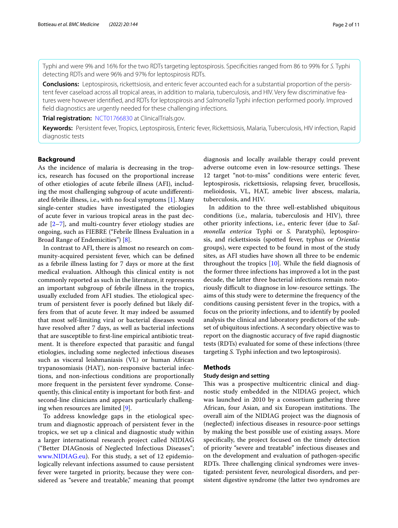Typhi and were 9% and 16% for the two RDTs targeting leptospirosis. Specifcities ranged from 86 to 99% for *S.* Typhi detecting RDTs and were 96% and 97% for leptospirosis RDTs.

**Conclusions:** Leptospirosis, rickettsiosis, and enteric fever accounted each for a substantial proportion of the persis‑ tent fever caseload across all tropical areas, in addition to malaria, tuberculosis, and HIV. Very few discriminative features were however identifed, and RDTs for leptospirosis and *Salmonella* Typhi infection performed poorly. Improved feld diagnostics are urgently needed for these challenging infections.

**Trial registration:** [NCT01766830](https://clinicaltrials.gov/ct2/show/NCT01766830) at ClinicalTrials.gov.

**Keywords:** Persistent fever, Tropics, Leptospirosis, Enteric fever, Rickettsiosis, Malaria, Tuberculosis, HIV infection, Rapid diagnostic tests

#### **Background**

As the incidence of malaria is decreasing in the tropics, research has focused on the proportional increase of other etiologies of acute febrile illness (AFI), including the most challenging subgroup of acute undiferentiated febrile illness, i.e., with no focal symptoms [\[1](#page-10-0)]. Many single-center studies have investigated the etiologies of acute fever in various tropical areas in the past decade  $[2-7]$  $[2-7]$  $[2-7]$ , and multi-country fever etiology studies are ongoing, such as FIEBRE ("Febrile Illness Evaluation in a Broad Range of Endemicities") [[8\]](#page-10-3).

In contrast to AFI, there is almost no research on community-acquired persistent fever, which can be defned as a febrile illness lasting for 7 days or more at the frst medical evaluation. Although this clinical entity is not commonly reported as such in the literature, it represents an important subgroup of febrile illness in the tropics, usually excluded from AFI studies. The etiological spectrum of persistent fever is poorly defned but likely differs from that of acute fever. It may indeed be assumed that most self-limiting viral or bacterial diseases would have resolved after 7 days, as well as bacterial infections that are susceptible to frst-line empirical antibiotic treatment. It is therefore expected that parasitic and fungal etiologies, including some neglected infectious diseases such as visceral leishmaniasis (VL) or human African trypanosomiasis (HAT), non-responsive bacterial infections, and non-infectious conditions are proportionally more frequent in the persistent fever syndrome. Consequently, this clinical entity is important for both frst- and second-line clinicians and appears particularly challenging when resources are limited [\[9\]](#page-10-4).

To address knowledge gaps in the etiological spectrum and diagnostic approach of persistent fever in the tropics, we set up a clinical and diagnostic study within a larger international research project called NIDIAG ("Better DIAGnosis of Neglected Infectious Diseases"; [www.NIDIAG.eu](http://www.nidiag.eu)). For this study, a set of 12 epidemiologically relevant infections assumed to cause persistent fever were targeted in priority, because they were considered as "severe and treatable," meaning that prompt diagnosis and locally available therapy could prevent adverse outcome even in low-resource settings. These 12 target "not-to-miss" conditions were enteric fever, leptospirosis, rickettsiosis, relapsing fever, brucellosis, melioidosis, VL, HAT, amebic liver abscess, malaria, tuberculosis, and HIV.

In addition to the three well-established ubiquitous conditions (i.e., malaria, tuberculosis and HIV), three other priority infections, i.e., enteric fever (due to *Salmonella enterica* Typhi or *S.* Paratyphi), leptospirosis, and rickettsiosis (spotted fever, typhus or *Orientia* groups), were expected to be found in most of the study sites, as AFI studies have shown all three to be endemic throughout the tropics [\[10](#page-10-5)]. While the feld diagnosis of the former three infections has improved a lot in the past decade, the latter three bacterial infections remain notoriously difficult to diagnose in low-resource settings. The aims of this study were to determine the frequency of the conditions causing persistent fever in the tropics, with a focus on the priority infections, and to identify by pooled analysis the clinical and laboratory predictors of the subset of ubiquitous infections. A secondary objective was to report on the diagnostic accuracy of fve rapid diagnostic tests (RDTs) evaluated for some of these infections (three targeting *S.* Typhi infection and two leptospirosis).

#### **Methods**

#### **Study design and setting**

This was a prospective multicentric clinical and diagnostic study embedded in the NIDIAG project, which was launched in 2010 by a consortium gathering three African, four Asian, and six European institutions. The overall aim of the NIDIAG project was the diagnosis of (neglected) infectious diseases in resource-poor settings by making the best possible use of existing assays. More specifcally, the project focused on the timely detection of priority "severe and treatable" infectious diseases and on the development and evaluation of pathogen-specifc RDTs. Three challenging clinical syndromes were investigated: persistent fever, neurological disorders, and persistent digestive syndrome (the latter two syndromes are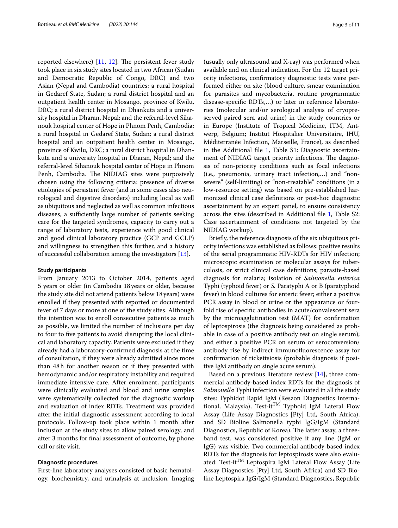reported elsewhere)  $[11, 12]$  $[11, 12]$  $[11, 12]$  $[11, 12]$  $[11, 12]$ . The persistent fever study took place in six study sites located in two African (Sudan and Democratic Republic of Congo, DRC) and two Asian (Nepal and Cambodia) countries: a rural hospital in Gedaref State, Sudan; a rural district hospital and an outpatient health center in Mosango, province of Kwilu, DRC; a rural district hospital in Dhankuta and a university hospital in Dharan, Nepal; and the referral-level Sihanouk hospital center of Hope in Phnom Penh, Cambodia: a rural hospital in Gedaref State, Sudan; a rural district hospital and an outpatient health center in Mosango, province of Kwilu, DRC; a rural district hospital in Dhankuta and a university hospital in Dharan, Nepal; and the referral-level Sihanouk hospital center of Hope in Phnom Penh, Cambodia. The NIDIAG sites were purposively chosen using the following criteria: presence of diverse etiologies of persistent fever (and in some cases also neurological and digestive disorders) including local as well as ubiquitous and neglected as well as common infectious diseases, a sufficiently large number of patients seeking care for the targeted syndromes, capacity to carry out a range of laboratory tests, experience with good clinical and good clinical laboratory practice (GCP and GCLP) and willingness to strengthen this further, and a history of successful collaboration among the investigators [[13](#page-10-8)].

#### **Study participants**

From January 2013 to October 2014, patients aged 5 years or older (in Cambodia 18 years or older, because the study site did not attend patients below 18 years) were enrolled if they presented with reported or documented fever of 7 days or more at one of the study sites. Although the intention was to enroll consecutive patients as much as possible, we limited the number of inclusions per day to four to fve patients to avoid disrupting the local clinical and laboratory capacity. Patients were excluded if they already had a laboratory-confrmed diagnosis at the time of consultation, if they were already admitted since more than 48h for another reason or if they presented with hemodynamic and/or respiratory instability and required immediate intensive care. After enrolment, participants were clinically evaluated and blood and urine samples were systematically collected for the diagnostic workup and evaluation of index RDTs. Treatment was provided after the initial diagnostic assessment according to local protocols. Follow-up took place within 1 month after inclusion at the study sites to allow paired serology, and after 3 months for fnal assessment of outcome, by phone call or site visit.

#### **Diagnostic procedures**

First-line laboratory analyses consisted of basic hematology, biochemistry, and urinalysis at inclusion. Imaging

(usually only ultrasound and X-ray) was performed when available and on clinical indication. For the 12 target priority infections, confrmatory diagnostic tests were performed either on site (blood culture, smear examination for parasites and mycobacteria, routine programmatic disease-specifc RDTs,…) or later in reference laboratories (molecular and/or serological analysis of cryopreserved paired sera and urine) in the study countries or in Europe (Institute of Tropical Medicine, ITM, Antwerp, Belgium; Institut Hospitalier Universitaire, IHU, Méditerranée Infection, Marseille, France), as described in the Additional file [1](#page-9-0), Table S1: Diagnostic ascertainment of NIDIAG target priority infections. The diagnosis of non-priority conditions such as focal infections (i.e., pneumonia, urinary tract infection,…) and "nonsevere" (self-limiting) or "non-treatable" conditions (in a low-resource setting) was based on pre-established harmonized clinical case defnitions or post-hoc diagnostic ascertainment by an expert panel, to ensure consistency across the sites (described in Additional fle [1,](#page-9-0) Table S2: Case ascertainment of conditions not targeted by the NIDIAG workup).

Briefy, the reference diagnosis of the six ubiquitous priority infections was established as follows: positive results of the serial programmatic HIV-RDTs for HIV infection; microscopic examination or molecular assays for tuberculosis, or strict clinical case defnitions; parasite-based diagnosis for malaria; isolation of *Salmonella enterica* Typhi (typhoid fever) or *S.* Paratyphi A or B (paratyphoid fever) in blood cultures for enteric fever; either a positive PCR assay in blood or urine or the appearance or fourfold rise of specifc antibodies in acute/convalescent sera by the microagglutination test (MAT) for confrmation of leptospirosis (the diagnosis being considered as probable in case of a positive antibody test on single serum); and either a positive PCR on serum or seroconversion/ antibody rise by indirect immunofuorescence assay for confrmation of rickettsiosis (probable diagnosis if positive IgM antibody on single acute serum).

Based on a previous literature review [\[14](#page-10-9)], three commercial antibody-based index RDTs for the diagnosis of *Salmonella* Typhi infection were evaluated in all the study sites: Typhidot Rapid IgM (Reszon Diagnostics International, Malaysia), Test-it<sup>TM</sup> Typhoid IgM Lateral Flow Assay (Life Assay Diagnostics [Pty] Ltd, South Africa), and SD Bioline Salmonella typhi IgG/IgM (Standard Diagnostics, Republic of Korea). The latter assay, a threeband test, was considered positive if any line (IgM or IgG) was visible. Two commercial antibody-based index RDTs for the diagnosis for leptospirosis were also evaluated: Test-it<sup>TM</sup> Leptospira IgM Lateral Flow Assay (Life Assay Diagnostics [Pty] Ltd, South Africa) and SD Bioline Leptospira IgG/IgM (Standard Diagnostics, Republic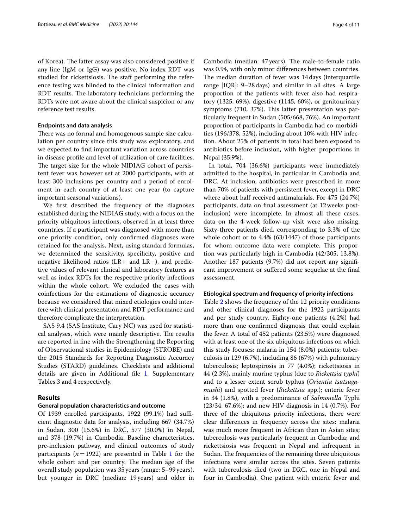of Korea). The latter assay was also considered positive if any line (IgM or IgG) was positive. No index RDT was studied for rickettsiosis. The staff performing the reference testing was blinded to the clinical information and RDT results. The laboratory technicians performing the RDTs were not aware about the clinical suspicion or any reference test results.

#### **Endpoints and data analysis**

There was no formal and homogenous sample size calculation per country since this study was exploratory, and we expected to fnd important variation across countries in disease profle and level of utilization of care facilities. The target size for the whole NIDIAG cohort of persistent fever was however set at 2000 participants, with at least 300 inclusions per country and a period of enrolment in each country of at least one year (to capture important seasonal variations).

We first described the frequency of the diagnoses established during the NIDIAG study, with a focus on the priority ubiquitous infections, observed in at least three countries. If a participant was diagnosed with more than one priority condition, only confrmed diagnoses were retained for the analysis. Next, using standard formulas, we determined the sensitivity, specifcity, positive and negative likelihood ratios (LR+ and LR−), and predictive values of relevant clinical and laboratory features as well as index RDTs for the respective priority infections within the whole cohort. We excluded the cases with coinfections for the estimations of diagnostic accuracy because we considered that mixed etiologies could interfere with clinical presentation and RDT performance and therefore complicate the interpretation.

SAS 9.4 (SAS Institute, Cary NC) was used for statistical analyses, which were mainly descriptive. The results are reported in line with the Strengthening the Reporting of Observational studies in Epidemiology (STROBE) and the 2015 Standards for Reporting Diagnostic Accuracy Studies (STARD) guidelines. Checklists and additional details are given in Additional fle [1](#page-9-0), Supplementary Tables 3 and 4 respectively.

#### **Results**

#### **General population characteristics and outcome**

Of 1939 enrolled participants, 1922 (99.1%) had sufficient diagnostic data for analysis, including 667 (34.7%) in Sudan, 300 (15.6%) in DRC, 577 (30.0%) in Nepal, and 378 (19.7%) in Cambodia. Baseline characteristics, pre-inclusion pathway, and clinical outcomes of study participants ( $n=1922$  $n=1922$  $n=1922$ ) are presented in Table 1 for the whole cohort and per country. The median age of the overall study population was 35years (range: 5–99years), but younger in DRC (median: 19years) and older in

Cambodia (median: 47 years). The male-to-female ratio was 0.94, with only minor diferences between countries. The median duration of fever was 14 days (interquartile range [IQR]: 9–28days) and similar in all sites. A large proportion of the patients with fever also had respiratory (1325, 69%), digestive (1145, 60%), or genitourinary symptoms (710, 37%). This latter presentation was particularly frequent in Sudan (505/668, 76%). An important proportion of participants in Cambodia had co-morbidities (196/378, 52%), including about 10% with HIV infection. About 25% of patients in total had been exposed to antibiotics before inclusion, with higher proportions in Nepal (35.9%).

In total, 704 (36.6%) participants were immediately admitted to the hospital, in particular in Cambodia and DRC. At inclusion, antibiotics were prescribed in more than 70% of patients with persistent fever, except in DRC where about half received antimalarials. For 475 (24.7%) participants, data on fnal assessment (at 12weeks postinclusion) were incomplete. In almost all these cases, data on the 4-week follow-up visit were also missing. Sixty-three patients died, corresponding to 3.3% of the whole cohort or to 4.4% (63/1447) of those participants for whom outcome data were complete. This proportion was particularly high in Cambodia (42/305, 13.8%). Another 187 patients (9.7%) did not report any signifcant improvement or sufered some sequelae at the fnal assessment.

#### **Etiological spectrum and frequency of priority infections**

Table [2](#page-5-0) shows the frequency of the 12 priority conditions and other clinical diagnoses for the 1922 participants and per study country. Eighty-one patients (4.2%) had more than one confrmed diagnosis that could explain the fever. A total of 452 patients (23.5%) were diagnosed with at least one of the six ubiquitous infections on which this study focuses: malaria in 154 (8.0%) patients; tuberculosis in 129 (6.7%), including 86 (67%) with pulmonary tuberculosis; leptospirosis in 77 (4.0%); rickettsiosis in 44 (2.3%), mainly murine typhus (due to *Rickettsia typhi*) and to a lesser extent scrub typhus (*Orientia tsutsugamushi*) and spotted fever (*Rickettsia* spp.); enteric fever in 34 (1.8%), with a predominance of *Salmonella* Typhi (23/34, 67.6%); and new HIV diagnosis in 14 (0.7%). For three of the ubiquitous priority infections, there were clear diferences in frequency across the sites: malaria was much more frequent in African than in Asian sites; tuberculosis was particularly frequent in Cambodia; and rickettsiosis was frequent in Nepal and infrequent in Sudan. The frequencies of the remaining three ubiquitous infections were similar across the sites. Seven patients with tuberculosis died (two in DRC, one in Nepal and four in Cambodia). One patient with enteric fever and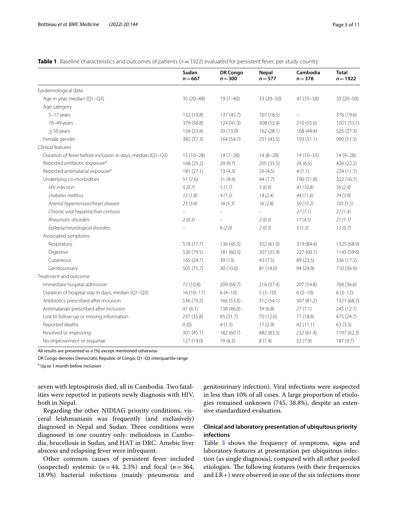<span id="page-4-0"></span>

| Table 1 Baseline characteristics and outcomes of patients (n = 1922) evaluated for persistent fever, per study country |  |  |
|------------------------------------------------------------------------------------------------------------------------|--|--|
|                                                                                                                        |  |  |

|                                                            | Sudan<br>$n = 667$ | <b>DR Congo</b><br>$n = 300$ | <b>Nepal</b><br>$n = 577$ | Cambodia<br>$n = 378$ | <b>Total</b><br>$n = 1922$ |
|------------------------------------------------------------|--------------------|------------------------------|---------------------------|-----------------------|----------------------------|
| Epidemiological data                                       |                    |                              |                           |                       |                            |
| Age in year, median (Q1-Q3)                                | $35(20-48)$        | $19(7-40)$                   | $33(20 - 50)$             | 47 (35-58)            | $35(20-50)$                |
| Age category                                               |                    |                              |                           |                       |                            |
| 5-17 years                                                 | 132 (19.8)         | 137(45.7)                    | 107(18.5)                 |                       | 376 (19.6)                 |
| 18-49 years                                                | 379 (56.8)         | 124(41.3)                    | 308 (53.4)                | 210 (55.6)            | 1021 (53.1)                |
| $\geq$ 50 years                                            | 156 (23.4)         | 39 (13.0)                    | 162 (28.1)                | 168 (44.4)            | 525 (27.3)                 |
| Female gender                                              | 382 (57.3)         | 164 (54.7)                   | 251 (43.5)                | 193 (51.1)            | 990 (51.5)                 |
| Clinical features                                          |                    |                              |                           |                       |                            |
| Duration of fever before inclusion in days, median (Q1-Q3) | $15(10-28)$        | $14(7-28)$                   | $14(8-28)$                | $14(10-35)$           | $14(9-28)$                 |
| Reported antibiotic exposure <sup>a</sup>                  | 168 (25.2)         | 29 (9.7)                     | 205 (35.5)                | 24(6.5)               | 426 (22.2)                 |
| Reported antimalarial exposure <sup>a</sup>                | 181(27.1)          | 13(4.3)                      | 26(4.5)                   | 4(1.1)                | 224(11.7)                  |
| Underlying co-morbidities                                  | 51(7.6)            | 31(9.4)                      | 44(7.7)                   | 196 (51.8)            | 322 (16.7)                 |
| <b>HIV</b> infection                                       | 5(0.7)             | 5(1.7)                       | 5(0.9)                    | 41 (10.8)             | 56(2.9)                    |
| Diabetes mellitus                                          | 12(1.8)            | 4(1.3)                       | 14(2.4)                   | 44 (11.6)             | 74(3.9)                    |
| Arterial hypertension/heart disease                        | 23(3.4)            | 16(5.3)                      | 16(2.8)                   | 50(13.2)              | 105(5.5)                   |
| Chronic viral hepatitis/liver cirrhosis                    | $\equiv$           |                              |                           | 27(7.1)               | 27(1.4)                    |
| Rheumatic disorders                                        | 2(0.3)             |                              | 2(0.3)                    | 17(4.5)               | 21(1.1)                    |
| Epilepsy/neurological disorders                            |                    | 6(2.0)                       | 2(0.3)                    | 5(1.3)                | 13(0.7)                    |
| Associated symptoms                                        |                    |                              |                           |                       |                            |
| Respiratory                                                | 518 (77.7)         | 136 (45.3)                   | 352 (61.0)                | 319 (84.4)            | 1325 (68.9)                |
| Digestive                                                  | 530 (79.5)         | 181 (60.3)                   | 207 (35.9)                | 227 (60.1)            | 1145 (59.6)                |
| Cutaneous                                                  | 165 (24.7)         | 39(13)                       | 43(7.5)                   | 89 (23.5)             | 336 (17.5)                 |
| Genitourinary                                              | 505 (75.7)         | 30 (10.0)                    | 81 (14.0)                 | 94 (24.9)             | 710 (36.9)                 |
| Treatment and outcome                                      |                    |                              |                           |                       |                            |
| Immediate hospital admission                               | 72 (10.8)          | 209 (69.7)                   | 216 (37.4)                | 207 (54.8)            | 704 (36.6)                 |
| Duration of hospital stay in days, median (Q1-Q3)          | $16(10-17)$        | $6(4-10)$                    | $5(3-10)$                 | $6(3-10)$             | $6(3-12)$                  |
| Antibiotics prescribed after inclusion                     | 536 (79.2)         | 166(53.3)                    | 312 (54.1)                | 307 (81.2)            | 1321 (68.7)                |
| Antimalarials prescribed after inclusion                   | 41(6.1)            | 138 (46.0)                   | 39(6.8)                   | 27(7.1)               | 245 (12.7)                 |
| Lost to follow-up or missing information                   | 237 (35.8)         | 95 (31.7)                    | 70 (12.0)                 | 71 (18.8)             | 475 (24.7)                 |
| Reported deaths                                            | 0(0)               | 4(1.3)                       | 17(2.9)                   | 42(11.1)              | 63(3.3)                    |
| Resolved or improving                                      | 301 (45.1)         | 182 (60.7)                   | 482 (83.5)                | 232 (61.4)            | 1197 (62.3)                |
| No improvement or sequelae                                 | 127 (19.0)         | 19(6.3)                      | 8(1.4)                    | 33 (7.9)              | 187(9.7)                   |

All results are presented as *n* (%) except mentioned otherwise

DR Congo denotes Democratic Republic of Congo; Q1–Q3 interquartile range

<sup>a</sup> Up to 1 month before inclusion

seven with leptospirosis died, all in Cambodia. Two fatalities were reported in patients newly diagnosis with HIV, both in Nepal.

Regarding the other NIDIAG priority conditions, visceral leishmaniasis was frequently (and exclusively) diagnosed in Nepal and Sudan. Three conditions were diagnosed in one country only: melioidosis in Cambodia, brucellosis in Sudan, and HAT in DRC. Amebic liver abscess and relapsing fever were infrequent.

Other common causes of persistent fever included (suspected) systemic  $(n=44, 2.3%)$  and focal  $(n=364, ...)$ 18.9%) bacterial infections (mainly pneumonia and genitourinary infection). Viral infections were suspected in less than 10% of all cases. A large proportion of etiologies remained unknown (745, 38.8%), despite an extensive standardized evaluation.

### **Clinical and laboratory presentation of ubiquitous priority infections**

Table [3](#page-6-0) shows the frequency of symptoms, signs and laboratory features at presentation per ubiquitous infection (as single diagnosis), compared with all other pooled etiologies. The following features (with their frequencies and LR+) were observed in one of the six infections more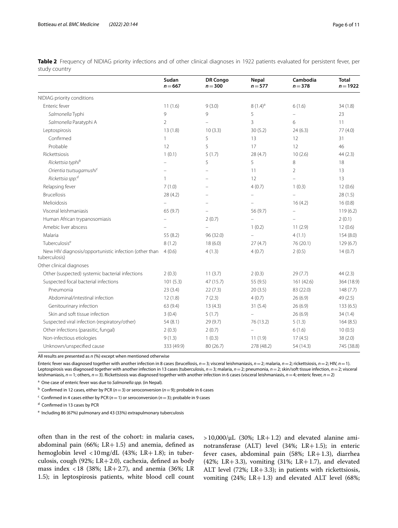<span id="page-5-0"></span>

|               | Table 2 Frequency of NIDIAG priority infections and of other clinical diagnoses in 1922 patients evaluated for persistent fever, per |  |  |  |  |  |  |  |
|---------------|--------------------------------------------------------------------------------------------------------------------------------------|--|--|--|--|--|--|--|
| study country |                                                                                                                                      |  |  |  |  |  |  |  |

|                                                                                | Sudan<br>$n = 667$ | <b>DR Congo</b><br>$n = 300$ | <b>Nepal</b><br>$n = 577$ | Cambodia<br>$n = 378$ | <b>Total</b><br>$n = 1922$ |
|--------------------------------------------------------------------------------|--------------------|------------------------------|---------------------------|-----------------------|----------------------------|
| NIDIAG priority conditions                                                     |                    |                              |                           |                       |                            |
| Enteric fever                                                                  | 11(1.6)            | 9(3.0)                       | $8(1.4)^a$                | 6(1.6)                | 34 (1.8)                   |
| Salmonella Typhi                                                               | 9                  | 9                            | 5                         | $\overline{a}$        | 23                         |
| Salmonella Paratyphi A                                                         | $\overline{2}$     |                              | 3                         | 6                     | 11                         |
| Leptospirosis                                                                  | 13(1.8)            | 10(3.3)                      | 30(5.2)                   | 24(6.3)               | 77(4.0)                    |
| Confirmed                                                                      | 1                  | 5                            | 13                        | 12                    | 31                         |
| Probable                                                                       | 12                 | 5                            | 17                        | 12                    | 46                         |
| Rickettsiosis                                                                  | 1(0.1)             | 5(1.7)                       | 28(4.7)                   | 10(2.6)               | 44(2.3)                    |
| Rickettsia typhi <sup>b</sup>                                                  |                    | 5                            | 5                         | 8                     | 18                         |
| Orientia tsutsugamushi <sup>c</sup>                                            |                    |                              | 11                        | $\overline{2}$        | 13                         |
| Rickettsia spp. <sup>d</sup>                                                   | 1                  |                              | 12                        | $\equiv$              | 13                         |
| Relapsing fever                                                                | 7(1.0)             |                              | 4(0.7)                    | 1(0.3)                | 12(0.6)                    |
| <b>Brucellosis</b>                                                             | 28 (4.2)           |                              | ÷                         | $\equiv$              | 28(1.5)                    |
| Melioidosis                                                                    |                    |                              |                           | 16(4.2)               | 16(0.8)                    |
| Visceral leishmaniasis                                                         | 65 (9.7)           |                              | 56 (9.7)                  |                       | 119(6.2)                   |
| Human African trypanosomiasis                                                  |                    | 2(0.7)                       |                           |                       | 2(0.1)                     |
| Amebic liver abscess                                                           |                    | $\equiv$                     | 1(0.2)                    | 11(2.9)               | 12(0.6)                    |
| Malaria                                                                        | 55 (8.2)           | 96 (32.0)                    |                           | 4(1.1)                | 154(8.0)                   |
| Tuberculosise                                                                  | 8(1.2)             | 18(6.0)                      | 27(4.7)                   | 76 (20.1)             | 129 (6.7)                  |
| New HIV diagnosis/opportunistic infection (other than 4 (0.6)<br>tuberculosis) |                    | 4(1.3)                       | 4(0.7)                    | 2(0.5)                | 14(0.7)                    |
| Other clinical diagnoses                                                       |                    |                              |                           |                       |                            |
| Other (suspected) systemic bacterial infections                                | 2(0.3)             | 11(3.7)                      | 2(0.3)                    | 29(7.7)               | 44(2.3)                    |
| Suspected focal bacterial infections                                           | 101(5.3)           | 47(15.7)                     | 55 (9.5)                  | 161 (42.6)            | 364 (18.9)                 |
| Pneumonia                                                                      | 23(3.4)            | 22(7.3)                      | 20(3.5)                   | 83 (22.0)             | 148(7.7)                   |
| Abdominal/intestinal infection                                                 | 12(1.8)            | 7(2.3)                       | 4(0.7)                    | 26(6.9)               | 49 (2.5)                   |
| Genitourinary infection                                                        | 63 (9.4)           | 13(4.3)                      | 31(5.4)                   | 26(6.9)               | 133(6.5)                   |
| Skin and soft tissue infection                                                 | 3(0.4)             | 5(1.7)                       |                           | 26(6.9)               | 34(1.4)                    |
| Suspected viral infection (respiratory/other)                                  | 54(8.1)            | 29 (9.7)                     | 76 (13.2)                 | 5(1.3)                | 164(8.5)                   |
| Other infections (parasitic, fungal)                                           | 2(0.3)             | 2(0.7)                       |                           | 6(1.6)                | 10(0.5)                    |
| Non-infectious etiologies                                                      | 9(1.3)             | 1(0.3)                       | 11(1.9)                   | 17(4.5)               | 38(2.0)                    |
| Unknown/unspecified cause                                                      | 333 (49.9)         | 80 (26.7)                    | 278 (48.2)                | 54 (14.3)             | 745 (38.8)                 |

All results are presented as *n* (%) except when mentioned otherwise

Enteric fever was diagnosed together with another infection in 8 cases (brucellosis, *n*=3; visceral leishmaniasis, *n*=2; malaria, *n*=2; rickettsiosis, *n*=2; HIV, *n*=1). Leptospirosis was diagnosed together with another infection in 13 cases (tuberculosis, *n*=3; malaria, *n*=2; pneumonia, *n*=2; skin/soft tissue infection, *n*=2; visceral leishmaniasis, *n*=1; others, *n*=3). Rickettsiosis was diagnosed together with another infection in 6 cases (visceral leishmaniasis, *n*=4; enteric fever, *n*=2)

a One case of enteric fever was due to *Salmonella spp.* (in Nepal)*.*

b Confrmed in 12 cases, either by PCR (*n*=3) or seroconversion (*n*=9); probable in 6 cases

c Confrmed in 4 cases either by PCR (*n*=1) or seroconversion (*n*=3); probable in 9 cases

<sup>d</sup> Confirmed in 13 cases by PCR

<sup>e</sup> Including 86 (67%) pulmonary and 43 (33%) extrapulmonary tuberculosis

often than in the rest of the cohort: in malaria cases, abdominal pain (66%; LR+1.5) and anemia, defined as hemoglobin level <10mg/dL (43%; LR+1.8); in tuberculosis, cough (92%; LR+2.0), cachexia, defned as body mass index <18 (38%; LR+2.7), and anemia (36%; LR 1.5); in leptospirosis patients, white blood cell count  $>10,000/\mu L$  (30%; LR+1.2) and elevated alanine aminotransferase (ALT) level (34%; LR+1.5); in enteric fever cases, abdominal pain  $(58\%; LR+1.3)$ , diarrhea (42%; LR+3.3), vomiting (31%; LR+1.7), and elevated ALT level (72%; LR+3.3); in patients with rickettsiosis, vomiting  $(24\%; LR+1.3)$  and elevated ALT level  $(68\%;$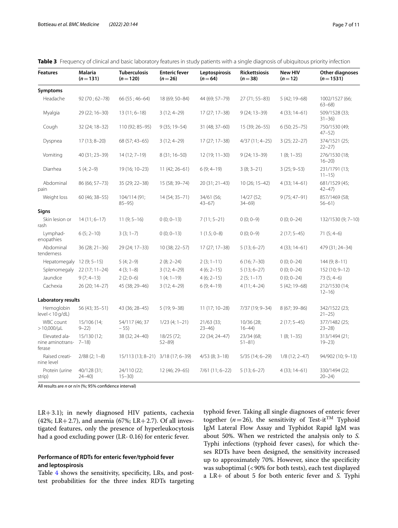| <b>Features</b>                             | <b>Malaria</b><br>$(n=131)$ | <b>Tuberculosis</b><br>$(n=120)$ | <b>Enteric fever</b><br>$(n=26)$ | Leptospirosis<br>$(n=64)$ | <b>Rickettsiosis</b><br>$(n=38)$ | <b>New HIV</b><br>$(n=12)$ | <b>Other diagnoses</b><br>$(n=1531)$ |
|---------------------------------------------|-----------------------------|----------------------------------|----------------------------------|---------------------------|----------------------------------|----------------------------|--------------------------------------|
| Symptoms                                    |                             |                                  |                                  |                           |                                  |                            |                                      |
| Headache                                    | 92 (70; 62-78)              | $66(55; 46-64)$                  | 18 (69; 50-84)                   | 44 (69; 57-79)            | 27 (71; 55-83)                   | 5 (42; 19 - 68)            | 1002/1527 (66;<br>$63 - 68$          |
| Myalgia                                     | 29 (22; 16-30)              | $13(11; 6 - 18)$                 | $3(12; 4-29)$                    | $17(27; 17-38)$           | 9 (24; 13-39)                    | $4(33; 14-61)$             | 509/1528 (33;<br>$31 - 36$           |
| Cough                                       | 32 (24; 18-32)              | 110 (92; 85-95)                  | $9(35; 19-54)$                   | 31 (48; 37-60)            | 15 (39; 26–55)                   | $6(50; 25 - 75)$           | 750/1530 (49;<br>$47 - 52$           |
| Dyspnea                                     | $17(13; 8 - 20)$            | 68 (57; 43-65)                   | $3(12; 4-29)$                    | 17 (27; 17-38)            | 4/37 (11; 4-25)                  | $3(25; 22-27)$             | 374/1521 (25;<br>$22 - 27$           |
| Vomiting                                    | 40 (31; 23-39)              | $14(12; 7-19)$                   | $8(31; 16-50)$                   | $12(19; 11-30)$           | 9 (24; 13-39)                    | $1(8; 1-35)$               | 276/1530 (18;<br>$16 - 20$           |
| Diarrhea                                    | $5(4; 2-9)$                 | 19 (16; 10-23)                   | $11(42; 26 - 61)$                | $6(9; 4-19)$              | $3(8; 3-21)$                     | $3(25; 9-53)$              | 231/1791 (13;<br>$11 - 15$           |
| Abdominal<br>pain                           | 86 (66; 57-73)              | 35 (29; 22-38)                   | 15 (58; 39-74)                   | 20 (31; 21-43)            | $10(26; 15-42)$                  | $4(33; 14-61)$             | 681/1529 (45;<br>$42 - 47$           |
| Weight loss                                 | 60 (46; 38-55)              | 104/114 (91;<br>$85 - 95$        | 14 (54; 35-71)                   | 34/61 (56;<br>$43 - 67$   | 14/27 (52;<br>$34 - 69$          | $9(75; 47-91)$             | 857/1469 (58;<br>$56 - 61$           |
| Signs                                       |                             |                                  |                                  |                           |                                  |                            |                                      |
| Skin lesion or<br>rash                      | $14(11; 6 - 17)$            | $11(9; 5-16)$                    | $0(0; 0-13)$                     | $7(11; 5-21)$             | $0(0; 0-9)$                      | $0(0; 0-24)$               | 132/1530 (9; 7-10)                   |
| Lymphad-<br>enopathies                      | $6(5; 2 - 10)$              | $3(3; 1-7)$                      | $0(0; 0-13)$                     | $1(1.5; 0-8)$             | $0(0; 0-9)$                      | $2(17; 5-45)$              | $71(5; 4-6)$                         |
| Abdominal<br>tenderness                     | 36 (28; 21-36)              | 29 (24; 17-33)                   | 10 (38; 22–57)                   | $17(27; 17-38)$           | $5(13; 6-27)$                    | $4(33; 14-61)$             | 479 (31; 24-34)                      |
| Hepatomegaly                                | $12(9; 5-15)$               | $5(4; 2-9)$                      | $2(8; 2-24)$                     | $2(3; 1-11)$              | $6(16; 7-30)$                    | $0(0; 0-24)$               | $144(9; 8 - 11)$                     |
| Splenomegaly                                | $22(17; 11-24)$             | $4(3; 1-8)$                      | $3(12; 4-29)$                    | $4(6; 2-15)$              | $5(13; 6-27)$                    | $0(0; 0-24)$               | 152 (10; 9-12)                       |
| Jaundice                                    | $9(7; 4-13)$                | $2(2; 0-6)$                      | $1(4; 1-19)$                     | $4(6; 2-15)$              | $2(5; 1-17)$                     | $0(0; 0-24)$               | $73(5; 4-6)$                         |
| Cachexia                                    | 26 (20; 14-27)              | 45 (38; 29-46)                   | $3(12; 4-29)$                    | $6(9; 4-19)$              | $4(11; 4-24)$                    | 5 (42; 19-68)              | 212/1530 (14;<br>$12 - 16$           |
| Laboratory results                          |                             |                                  |                                  |                           |                                  |                            |                                      |
| Hemoglobin<br>level < 10q/dL                | 56 (43; 35 - 51)            | 43 (36; 28-45)                   | $5(19; 9-38)$                    | $11(17; 10-28)$           | 7/37 (19; 9-34)                  | 8 (67; 39-86)              | 342/1522 (23;<br>$21 - 25$           |
| WBC count<br>$>10,000/\mu L$                | 15/106 (14;<br>$9 - 22$     | 54/117 (46; 37<br>$-55)$         | $1/23$ (4; 1-21)                 | 21/63 (33;<br>$23 - 46$   | 10/36 (28;<br>$16 - 44$          | $2(17; 5-45)$              | 377/1482 (25;<br>$23 - 28$           |
| Elevated ala-<br>nine aminotrans-<br>ferase | 15/130 (12;<br>$7 - 18$     | 38 (32; 24-40)                   | 18/25 (72;<br>$52 - 89$          | 22 (34; 24-47)            | 23/34 (68;<br>$51 - 81$          | $1(8; 1-35)$               | 313/1494 (21;<br>$19 - 23$           |
| Raised creati-<br>nine level                | $2/88$ (2; 1-8)             | $15/113(13; 8-21)$               | $3/18(17; 6-39)$                 | $4/53$ (8; 3-18)          | 5/35 (14; 6-29)                  | $1/8(12; 2-47)$            | 94/902 (10; 9-13)                    |
| Protein (urine<br>strip)                    | 40/128 (31;<br>$24 - 40$    | 24/110 (22;<br>$15 - 30$         | 12 (46; 29-65)                   | $7/61(11; 6-22)$          | $5(13; 6-27)$                    | $4(33; 14-61)$             | 330/1494 (22;<br>$20 - 24$           |

<span id="page-6-0"></span>**Table 3** Frequency of clinical and basic laboratory features in study patients with a single diagnosis of ubiquitous priority infection

All results are *n* or *n*/*n* (%; 95% confdence interval)

 $LR+3.1$ ; in newly diagnosed HIV patients, cachexia (42%; LR+2.7), and anemia (67%; LR+2.7). Of all investigated features, only the presence of hyperleukocytosis had a good excluding power (LR- 0.16) for enteric fever.

#### **Performance of RDTs for enteric fever/typhoid fever and leptospirosis**

Table [4](#page-7-0) shows the sensitivity, specificity, LRs, and posttest probabilities for the three index RDTs targeting typhoid fever. Taking all single diagnoses of enteric fever together ( $n=26$ ), the sensitivity of Test-it<sup>TM</sup> Typhoid IgM Lateral Flow Assay and Typhidot Rapid IgM was about 50%. When we restricted the analysis only to *S.* Typhi infections (typhoid fever cases), for which theses RDTs have been designed, the sensitivity increased up to approximately 70%. However, since the specifcity was suboptimal (<90% for both tests), each test displayed a LR+ of about 5 for both enteric fever and *S.* Typhi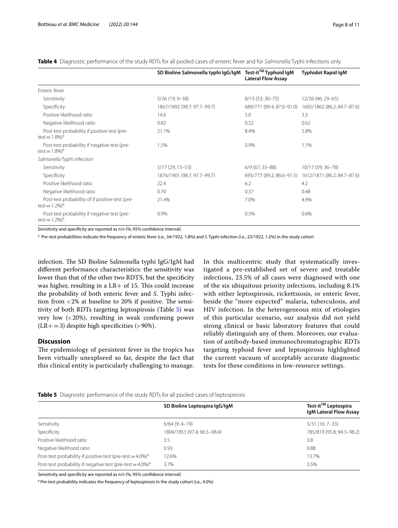|                                                                                | SD Bioline Salmonella typhi IgG/IgM | Test-it™ Typhoid IgM<br><b>Lateral Flow Assay</b> | <b>Typhidot Rapid IgM</b>                             |
|--------------------------------------------------------------------------------|-------------------------------------|---------------------------------------------------|-------------------------------------------------------|
| Enteric fever                                                                  |                                     |                                                   |                                                       |
| Sensitivity                                                                    | $5/26(19; 9-38)$                    | 8/15 (53; 30-75)                                  | 12/26 (46; 29-65)                                     |
| Specificity                                                                    | 1867/1892 (98.7; 97.7-99.7)         | 689/771 (89.4; 87.0-91.0)                         | 1605/1862 (86.2; 84.7-87.6)                           |
| Positive likelihood ratio                                                      | 14.6                                | 5.0                                               | 3.3                                                   |
| Negative likelihood ratio                                                      | 0.82                                | 0.52                                              | 0.62                                                  |
| Post-test probability if positive test (pre-<br>test = $1.8\%$ <sup>a</sup>    | 21.1%                               | 8.4%                                              | 5.8%                                                  |
| Post-test probability if negative test (pre-<br>test = $1.8\%)^d$              | 1.5%                                | 0.9%                                              | 1.1%                                                  |
| Salmonella Typhi infection                                                     |                                     |                                                   |                                                       |
| Sensitivity                                                                    | $5/17(29; 13-53)$                   | $6/9$ (67; 35-88)                                 | 10/17 (59; 36-78)                                     |
| Specificity                                                                    | 1876/1901 (98.7; 97.7-99.7)         |                                                   | 693/777 (89.2; 86.6-91.5) 1612/1871 (86.2; 84.7-87.6) |
| Positive likelihood ratio                                                      | 22.4                                | 6.2                                               | 4.2                                                   |
| Negative likelihood ratio                                                      | 0.70                                | 0.37                                              | 0.48                                                  |
| Post-test probability of if positive test (pre-<br>test = $1.2\%$ <sup>a</sup> | 21.4%                               | 7.0%                                              | 4.9%                                                  |
| Post-test probability if negative test (pre-<br>test = $1.2\%)^d$              | 0.9%                                | 0.5%                                              | 0.6%                                                  |

<span id="page-7-0"></span>**Table 4** Diagnostic performance of the study RDTs for all pooled cases of enteric fever and for *Salmonella* Typhi infections only

Sensitivity and specifcity are reported as *n*/*n* (%; 95% confdence interval)

a Pre-test probabilities indicate the frequency of enteric fever (i.e., 34/1922, 1.8%) and *S.* Typhi infection (i.e., 23/1922, 1.2%) in the study cohort

infection. The SD Bioline Salmonella typhi IgG/IgM had diferent performance characteristics: the sensitivity was lower than that of the other two RDTS, but the specifcity was higher, resulting in a  $LR+$  of 15. This could increase the probability of both enteric fever and *S*. Typhi infection from  $<$  2% at baseline to 20% if positive. The sensitivity of both RDTs targeting leptospirosis (Table [5\)](#page-7-1) was very low (<20%), resulting in weak confrming power  $(LR+=3)$  despite high specificities (>90%).

#### **Discussion**

The epidemiology of persistent fever in the tropics has been virtually unexplored so far, despite the fact that this clinical entity is particularly challenging to manage. In this multicentric study that systematically investigated a pre-established set of severe and treatable infections, 23.5% of all cases were diagnosed with one of the six ubiquitous priority infections, including 8.1% with either leptospirosis, rickettsiosis, or enteric fever, beside the "more expected" malaria, tuberculosis, and HIV infection. In the heterogeneous mix of etiologies of this particular scenario, our analysis did not yield strong clinical or basic laboratory features that could reliably distinguish any of them. Moreover, our evaluation of antibody-based immunochromatographic RDTs targeting typhoid fever and leptospirosis highlighted the current vacuum of acceptably accurate diagnostic tests for these conditions in low-resource settings.

<span id="page-7-1"></span>**Table 5** Diagnostic performance of the study RDTs for all pooled cases of leptospirosis

|                                                                           | SD Bioline Leptospira IqG/IqM | Test-it™ Leptospira<br>IgM Lateral Flow Assay |
|---------------------------------------------------------------------------|-------------------------------|-----------------------------------------------|
| Sensitivity                                                               | $6/64$ (9; 4-19)              | $5/31(16; 7-33)$                              |
| Specificity                                                               | 1804/1853 (97.4; 96.5-98.4)   | 785/819 (95.8; 94.3-98.2)                     |
| Positive likelihood ratio                                                 | 3.5                           | 3.8                                           |
| Negative likelihood ratio                                                 | 0.93                          | 0.88                                          |
| Post-test probability if positive test (pre-test = $4.0\%$ ) <sup>a</sup> | 12.6%                         | 13.7%                                         |
| Post-test probability if negative test (pre-test = $4.0\%$ ) <sup>a</sup> | 3.7%                          | 3.5%                                          |

Sensitivity and specifcity are reported as *n*/*n* (%; 95% confdence interval)

<sup>a</sup> Pre-test probability indicates the frequency of leptospirosis in the study cohort (i.e., 4.0%)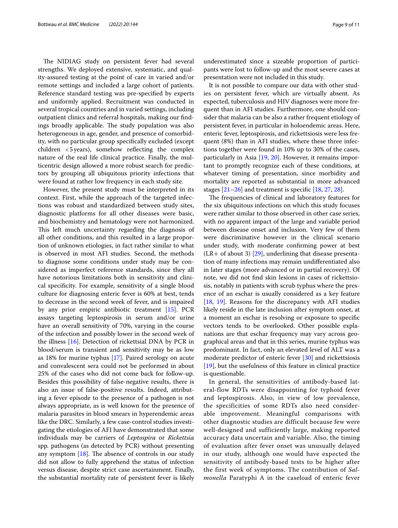The NIDIAG study on persistent fever had several strengths. We deployed extensive, systematic, and quality-assured testing at the point of care in varied and/or remote settings and included a large cohort of patients. Reference standard testing was pre-specifed by experts and uniformly applied. Recruitment was conducted in several tropical countries and in varied settings, including outpatient clinics and referral hospitals, making our fndings broadly applicable. The study population was also heterogeneous in age, gender, and presence of comorbidity, with no particular group specifcally excluded (except children  $<$  5 years), somehow reflecting the complex nature of the real life clinical practice. Finally, the multicentric design allowed a more robust search for predictors by grouping all ubiquitous priority infections that were found at rather low frequency in each study site.

However, the present study must be interpreted in its context. First, while the approach of the targeted infections was robust and standardized between study sites, diagnostic platforms for all other diseases were basic, and biochemistry and hematology were not harmonized. This left much uncertainty regarding the diagnosis of all other conditions, and this resulted in a large proportion of unknown etiologies, in fact rather similar to what is observed in most AFI studies. Second, the methods to diagnose some conditions under study may be considered as imperfect reference standards, since they all have notorious limitations both in sensitivity and clinical specifcity. For example, sensitivity of a single blood culture for diagnosing enteric fever is 60% at best, tends to decrease in the second week of fever, and is impaired by any prior empiric antibiotic treatment [[15\]](#page-10-10). PCR assays targeting leptospirosis in serum and/or urine have an overall sensitivity of 70%, varying in the course of the infection and possibly lower in the second week of the illness [[16\]](#page-10-11). Detection of rickettsial DNA by PCR in blood/serum is transient and sensitivity may be as low as 18% for murine typhus [[17\]](#page-10-12). Paired serology on acute and convalescent sera could not be performed in about 25% of the cases who did not come back for follow-up. Besides this possibility of false-negative results, there is also an issue of false-positive results. Indeed, attributing a fever episode to the presence of a pathogen is not always appropriate, as is well known for the presence of malaria parasites in blood smears in hyperendemic areas like the DRC. Similarly, a few case-control studies investigating the etiologies of AFI have demonstrated that some individuals may be carriers of *Leptospira* or *Rickettsia* spp*.* pathogens (as detected by PCR) without presenting any symptom  $[18]$ . The absence of controls in our study did not allow to fully apprehend the status of infection versus disease, despite strict case ascertainment. Finally, the substantial mortality rate of persistent fever is likely

underestimated since a sizeable proportion of participants were lost to follow-up and the most severe cases at presentation were not included in this study.

It is not possible to compare our data with other studies on persistent fever, which are virtually absent. As expected, tuberculosis and HIV diagnoses were more frequent than in AFI studies. Furthermore, one should consider that malaria can be also a rather frequent etiology of persistent fever, in particular in holoendemic areas. Here, enteric fever, leptospirosis, and rickettsiosis were less frequent (8%) than in AFI studies, where these three infections together were found in 10% up to 30% of the cases, particularly in Asia [\[19](#page-10-14), [20](#page-10-15)]. However, it remains important to promptly recognize each of these conditions, at whatever timing of presentation, since morbidity and mortality are reported as substantial in more advanced stages [[21–](#page-10-16)[26](#page-10-17)] and treatment is specifc [\[18](#page-10-13), [27](#page-10-18), [28\]](#page-10-19).

The frequencies of clinical and laboratory features for the six ubiquitous infections on which this study focuses were rather similar to those observed in other case series, with no apparent impact of the large and variable period between disease onset and inclusion. Very few of them were discriminative however in the clinical scenario under study, with moderate confrming power at best  $(LR+$  of about 3) [[29\]](#page-10-20), underlining that disease presentation of many infections may remain undiferentiated also in later stages (more advanced or in partial recovery). Of note, we did not fnd skin lesions in cases of rickettsiosis, notably in patients with scrub typhus where the presence of an eschar is usually considered as a key feature [[18,](#page-10-13) [19](#page-10-14)]. Reasons for the discrepancy with AFI studies likely reside in the late inclusion after symptom onset, at a moment an eschar is resolving or exposure to specifc vectors tends to be overlooked. Other possible explanations are that eschar frequency may vary across geographical areas and that in this series, murine typhus was predominant. In fact, only an elevated level of ALT was a moderate predictor of enteric fever [[30\]](#page-10-21) and rickettsiosis [[19\]](#page-10-14), but the usefulness of this feature in clinical practice is questionable.

In general, the sensitivities of antibody-based lateral-flow RDTs were disappointing for typhoid fever and leptospirosis. Also, in view of low prevalence, the specificities of some RDTs also need considerable improvement. Meaningful comparisons with other diagnostic studies are difficult because few were well-designed and sufficiently large, making reported accuracy data uncertain and variable. Also, the timing of evaluation after fever onset was unusually delayed in our study, although one would have expected the sensitivity of antibody-based tests to be higher after the first week of symptoms. The contribution of *Salmonella* Paratyphi A in the caseload of enteric fever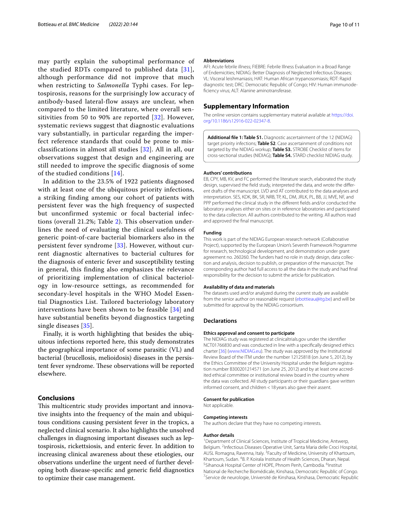may partly explain the suboptimal performance of the studied RDTs compared to published data [[31\]](#page-10-22), although performance did not improve that much when restricting to *Salmonella* Typhi cases. For leptospirosis, reasons for the surprisingly low accuracy of antibody-based lateral-flow assays are unclear, when compared to the limited literature, where overall sensitivities from 50 to 90% are reported [[32\]](#page-10-23). However, systematic reviews suggest that diagnostic evaluations vary substantially, in particular regarding the imperfect reference standards that could be prone to misclassifications in almost all studies [\[32\]](#page-10-23). All in all, our observations suggest that design and engineering are still needed to improve the specific diagnosis of some of the studied conditions [[14](#page-10-9)].

In addition to the 23.5% of 1922 patients diagnosed with at least one of the ubiquitous priority infections, a striking finding among our cohort of patients with persistent fever was the high frequency of suspected but unconfirmed systemic or focal bacterial infections (overall 21.2%; Table [2\)](#page-5-0). This observation underlines the need of evaluating the clinical usefulness of generic point-of-care bacterial biomarkers also in the persistent fever syndrome [[33\]](#page-10-24). However, without current diagnostic alternatives to bacterial cultures for the diagnosis of enteric fever and susceptibility testing in general, this finding also emphasizes the relevance of prioritizing implementation of clinical bacteriology in low-resource settings, as recommended for secondary-level hospitals in the WHO Model Essential Diagnostics List. Tailored bacteriology laboratory interventions have been shown to be feasible [[34](#page-10-25)] and have substantial benefits beyond diagnostics targeting single diseases [\[35\]](#page-10-26).

Finally, it is worth highlighting that besides the ubiquitous infections reported here, this study demonstrates the geographical importance of some parasitic (VL) and bacterial (brucellosis, melioidosis) diseases in the persistent fever syndrome. These observations will be reported elsewhere.

#### **Conclusions**

This multicentric study provides important and innovative insights into the frequency of the main and ubiquitous conditions causing persistent fever in the tropics, a neglected clinical scenario. It also highlights the unsolved challenges in diagnosing important diseases such as leptospirosis, rickettsiosis, and enteric fever. In addition to increasing clinical awareness about these etiologies, our observations underline the urgent need of further developing both disease-specifc and generic feld diagnostics to optimize their case management.

#### **Abbreviations**

AFI: Acute febrile illness; FIEBRE: Febrile Illness Evaluation in a Broad Range of Endemicities; NIDIAG: Better Diagnosis of Neglected Infectious Diseases; VL: Visceral leishmaniasis; HAT: Human African trypanosomiasis; RDT: Rapid diagnostic test; DRC: Democratic Republic of Congo; HIV: Human immunode‑ fciency virus; ALT: Alanine aminotransferase.

#### **Supplementary Information**

The online version contains supplementary material available at [https://doi.](https://doi.org/10.1186/s12916-022-02347-8) [org/10.1186/s12916-022-02347-8](https://doi.org/10.1186/s12916-022-02347-8).

<span id="page-9-0"></span>**Additional fle 1: Table S1.** Diagnostic ascertainment of the 12 (NIDIAG) target priority infections; **Table S2**. Case ascertainment of conditions not targeted by the NIDIAG workup; **Table S3.** STROBE Checklist of items for cross-sectional studies (NIDIAG); **Table S4.** STARD checklist NIDIAG study.

#### **Authors' contributions**

EB, CPY, MB, KV, and FC performed the literature search, elaborated the study design, supervised the field study, interpreted the data, and wrote the different drafts of the manuscript. LVD and AT contributed to the data analyses and interpretation. SES, KDK, BK, SR, NRB, TP, KL, DM, JRLK, PL, BB, JJ, MVE, NF, and PPP performed the clinical study in the diferent felds and/or conducted the laboratory analyses either on sites or in reference laboratories and participated to the data collection. All authors contributed to the writing. All authors read and approved the fnal manuscript.

#### **Funding**

This work is part of the NIDIAG European research network (Collaborative Project), supported by the European Union's Seventh Framework Programme for research, technological development, and demonstration under grant agreement no. 260260. The funders had no role in study design, data collection and analysis, decision to publish, or preparation of the manuscript. The corresponding author had full access to all the data in the study and had fnal responsibility for the decision to submit the article for publication.

#### **Availability of data and materials**

The datasets used and/or analyzed during the current study are available from the senior author on reasonable request (<ebottieau@itg.be>) and will be submitted for approval by the NIDIAG consortium.

#### **Declarations**

#### **Ethics approval and consent to participate**

The NIDIAG study was registered at clinicaltrials.gov under the identifer NCT01766830 and was conducted in line with a specifcally designed ethics charter [[36\]](#page-10-27) ([www.NIDIAG.eu\)](http://www.nidiag.eu). The study was approved by the Institutional Review Board of the ITM under the number 12125818 (on June 5, 2012), by the Ethics Committee of the University Hospital under the Belgium registration number B300201214571 (on June 25, 2012) and by at least one accredited ethical committee or institutional review board in the country where the data was collected. All study participants or their guardians gave written informed consent, and children <18 years also gave their assent.

#### **Consent for publication**

Not applicable.

## **Competing interests**

The authors declare that they have no competing interests.

#### **Author details**

<sup>1</sup> Department of Clinical Sciences, Institute of Tropical Medicine, Antwerp, Belgium. <sup>2</sup>Infectious Diseases Operative Unit, Santa Maria delle Croci Hospital, AUSL Romagna, Ravenna, Italy. <sup>3</sup> Faculty of Medicine, University of Khartoum, Khartoum, Sudan. <sup>4</sup>B. P. Koirala Institute of Health Sciences, Dharan, Nepal.<br><sup>5</sup>Sibanouk Hospital Conter of HOPE Phnom Poph, Cambodia, <sup>6</sup>loctitut. Sihanouk Hospital Center of HOPE, Phnom Penh, Cambodia. <sup>6</sup>Institut National de Recherche Biomédicale, Kinshasa, Democratic Republic of Congo. 7 <sup>7</sup>Service de neurologie, Université de Kinshasa, Kinshasa, Democratic Republic